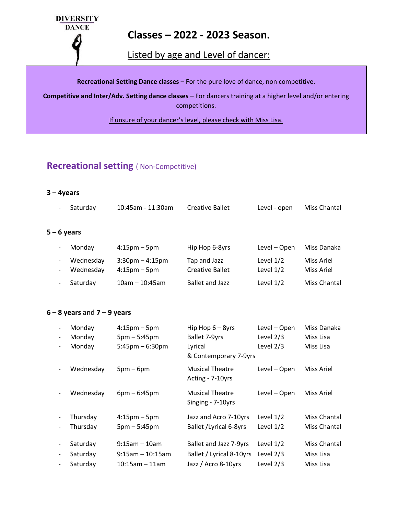

## **Classes – 2022 - 2023 Season.**

Listed by age and Level of dancer:

**Recreational Setting Dance classes** – For the pure love of dance, non competitive.

**Competitive and Inter/Adv. Setting dance classes** – For dancers training at a higher level and/or entering competitions.

If unsure of your dancer's level, please check with Miss Lisa.

### **Recreational setting** ( Non-Competitive)

#### **3 – 4years**

| $\overline{\phantom{a}}$                             | Saturday               | 10:45am - 11:30am                                      | Creative Ballet                        | Level - open               | <b>Miss Chantal</b>      |
|------------------------------------------------------|------------------------|--------------------------------------------------------|----------------------------------------|----------------------------|--------------------------|
| $5 - 6$ years                                        |                        |                                                        |                                        |                            |                          |
| $\overline{\phantom{a}}$                             | Monday                 | $4:15 \text{pm} - 5 \text{pm}$                         | Hip Hop 6-8yrs                         | Level – Open               | Miss Danaka              |
| $\overline{\phantom{a}}$<br>$\overline{\phantom{a}}$ | Wednesday<br>Wednesday | $3:30$ pm $-4:15$ pm<br>$4:15 \text{pm} - 5 \text{pm}$ | Tap and Jazz<br><b>Creative Ballet</b> | Level $1/2$<br>Level $1/2$ | Miss Ariel<br>Miss Ariel |
| $\overline{\phantom{a}}$                             | Saturday               | $10am - 10:45am$                                       | <b>Ballet and Jazz</b>                 | Level $1/2$                | <b>Miss Chantal</b>      |

#### **6 – 8 years** and **7 – 9 years**

| $\overline{\phantom{a}}$ | Monday    | $4:15$ pm – $5$ pm             | Hip Hop $6 - 8yrs$                          | Level - Open | Miss Danaka  |
|--------------------------|-----------|--------------------------------|---------------------------------------------|--------------|--------------|
|                          | Monday    | $5pm - 5:45pm$                 | Ballet 7-9yrs                               | Level $2/3$  | Miss Lisa    |
|                          | Monday    | $5:45$ pm $-6:30$ pm           | Lyrical<br>& Contemporary 7-9yrs            | Level 2/3    | Miss Lisa    |
|                          | Wednesday | $5pm-6pm$                      | <b>Musical Theatre</b><br>Acting - 7-10yrs  | Level - Open | Miss Ariel   |
|                          | Wednesday | $6pm - 6:45pm$                 | <b>Musical Theatre</b><br>Singing - 7-10yrs | Level - Open | Miss Ariel   |
|                          | Thursday  | $4:15 \text{pm} - 5 \text{pm}$ | Jazz and Acro 7-10yrs                       | Level 1/2    | Miss Chantal |
|                          | Thursday  | $5pm - 5:45pm$                 | <b>Ballet / Lyrical 6-8yrs</b>              | Level 1/2    | Miss Chantal |
|                          | Saturday  | $9:15$ am - 10am               | <b>Ballet and Jazz 7-9yrs</b>               | Level 1/2    | Miss Chantal |
|                          | Saturday  | $9:15am - 10:15am$             | Ballet / Lyrical 8-10yrs                    | Level 2/3    | Miss Lisa    |
|                          | Saturday  | $10:15$ am $-11$ am            | Jazz / Acro 8-10yrs                         | Level 2/3    | Miss Lisa    |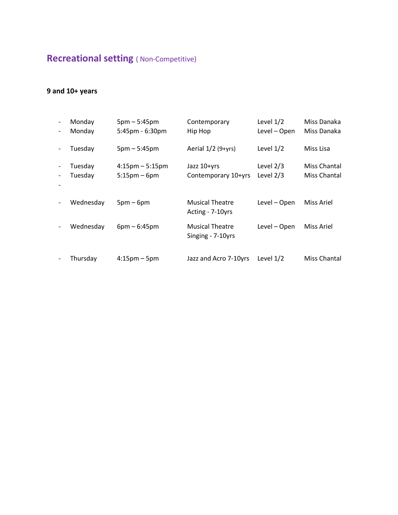# **Recreational setting** ( Non-Competitive)

### **9 and 10+ years**

| $\overline{\phantom{a}}$<br>$\overline{\phantom{a}}$ | Monday<br>Monday   | $5pm - 5:45pm$<br>5:45pm - 6:30pm                      | Contemporary<br>Hip Hop                     | Level 1/2<br>Level - Open | Miss Danaka<br>Miss Danaka   |
|------------------------------------------------------|--------------------|--------------------------------------------------------|---------------------------------------------|---------------------------|------------------------------|
| $\overline{\phantom{a}}$                             | Tuesday            | $5pm - 5:45pm$                                         | Aerial $1/2$ (9+yrs)                        | Level $1/2$               | Miss Lisa                    |
| $\overline{\phantom{a}}$<br>$\overline{\phantom{a}}$ | Tuesday<br>Tuesday | $4:15$ pm $-5:15$ pm<br>$5:15 \text{pm} - 6 \text{pm}$ | Jazz 10+yrs<br>Contemporary 10+yrs          | Level $2/3$<br>Level 2/3  | Miss Chantal<br>Miss Chantal |
| $\overline{\phantom{a}}$                             | Wednesday          | $5pm-6pm$                                              | <b>Musical Theatre</b><br>Acting - 7-10yrs  | Level - Open              | Miss Ariel                   |
| $\overline{\phantom{a}}$                             | Wednesday          | $6pm - 6:45pm$                                         | <b>Musical Theatre</b><br>Singing - 7-10yrs | Level – Open              | Miss Ariel                   |
|                                                      | Thursday           | $4:15 \text{pm} - 5 \text{pm}$                         | Jazz and Acro 7-10yrs                       | Level $1/2$               | Miss Chantal                 |